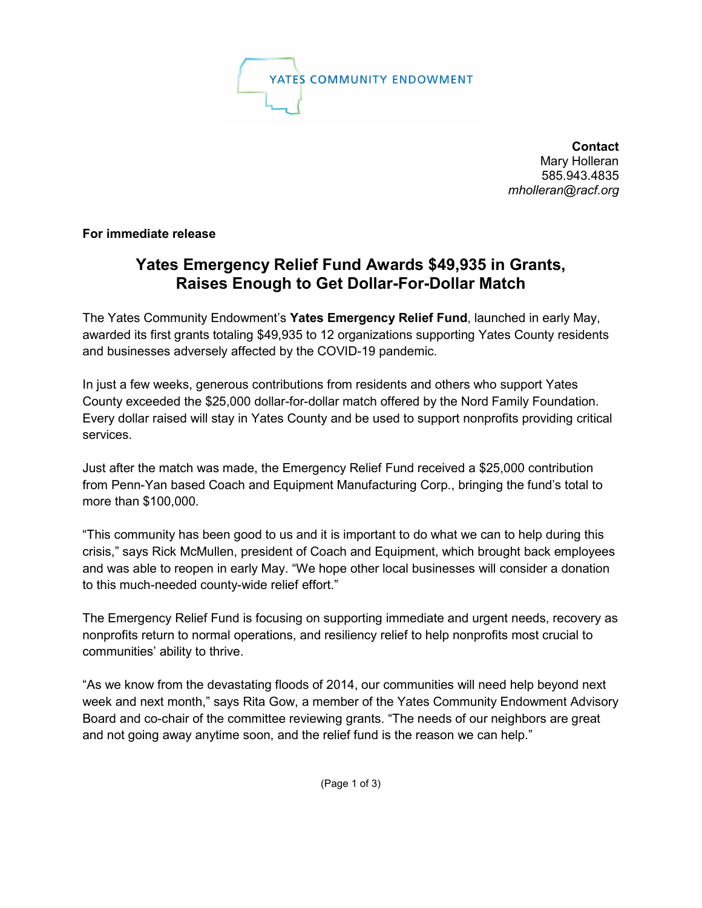

**Contact** Mary Holleran 585.943.4835 *mholleran@racf.org*

**For immediate release**

## **Yates Emergency Relief Fund Awards \$49,935 in Grants, Raises Enough to Get Dollar-For-Dollar Match**

The Yates Community Endowment's **Yates Emergency Relief Fund**, launched in early May, awarded its first grants totaling \$49,935 to 12 organizations supporting Yates County residents and businesses adversely affected by the COVID-19 pandemic.

In just a few weeks, generous contributions from residents and others who support Yates County exceeded the \$25,000 dollar-for-dollar match offered by the Nord Family Foundation. Every dollar raised will stay in Yates County and be used to support nonprofits providing critical services.

Just after the match was made, the Emergency Relief Fund received a \$25,000 contribution from Penn-Yan based Coach and Equipment Manufacturing Corp., bringing the fund's total to more than \$100,000.

"This community has been good to us and it is important to do what we can to help during this crisis," says Rick McMullen, president of Coach and Equipment, which brought back employees and was able to reopen in early May. "We hope other local businesses will consider a donation to this much-needed county-wide relief effort."

The Emergency Relief Fund is focusing on supporting immediate and urgent needs, recovery as nonprofits return to normal operations, and resiliency relief to help nonprofits most crucial to communities' ability to thrive.

"As we know from the devastating floods of 2014, our communities will need help beyond next week and next month," says Rita Gow, a member of the Yates Community Endowment Advisory Board and co-chair of the committee reviewing grants. "The needs of our neighbors are great and not going away anytime soon, and the relief fund is the reason we can help."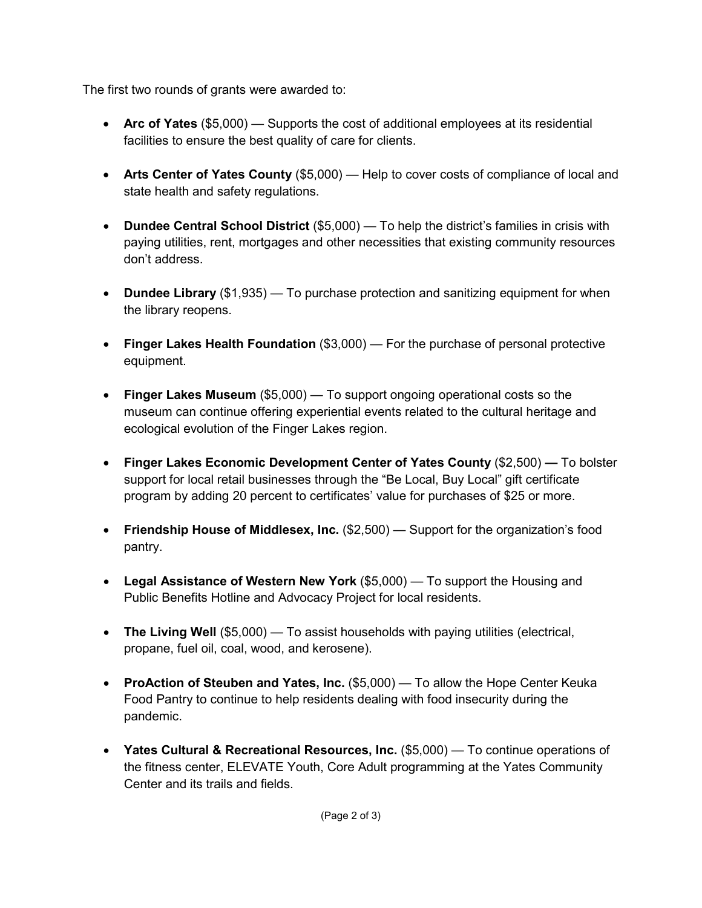The first two rounds of grants were awarded to:

- **Arc of Yates** (\$5,000) Supports the cost of additional employees at its residential facilities to ensure the best quality of care for clients.
- **Arts Center of Yates County** (\$5,000) Help to cover costs of compliance of local and state health and safety regulations.
- **Dundee Central School District** (\$5,000) To help the district's families in crisis with paying utilities, rent, mortgages and other necessities that existing community resources don't address.
- **Dundee Library** (\$1,935) To purchase protection and sanitizing equipment for when the library reopens.
- **Finger Lakes Health Foundation** (\$3,000) For the purchase of personal protective equipment.
- **Finger Lakes Museum** (\$5,000) To support ongoing operational costs so the museum can continue offering experiential events related to the cultural heritage and ecological evolution of the Finger Lakes region.
- **Finger Lakes Economic Development Center of Yates County** (\$2,500) **—** To bolster support for local retail businesses through the "Be Local, Buy Local" gift certificate program by adding 20 percent to certificates' value for purchases of \$25 or more.
- **Friendship House of Middlesex, Inc.** (\$2,500) Support for the organization's food pantry.
- **Legal Assistance of Western New York** (\$5,000) To support the Housing and Public Benefits Hotline and Advocacy Project for local residents.
- **The Living Well** (\$5,000) To assist households with paying utilities (electrical, propane, fuel oil, coal, wood, and kerosene).
- **ProAction of Steuben and Yates, Inc.** (\$5,000) To allow the Hope Center Keuka Food Pantry to continue to help residents dealing with food insecurity during the pandemic.
- **Yates Cultural & Recreational Resources, Inc.** (\$5,000) To continue operations of the fitness center, ELEVATE Youth, Core Adult programming at the Yates Community Center and its trails and fields.